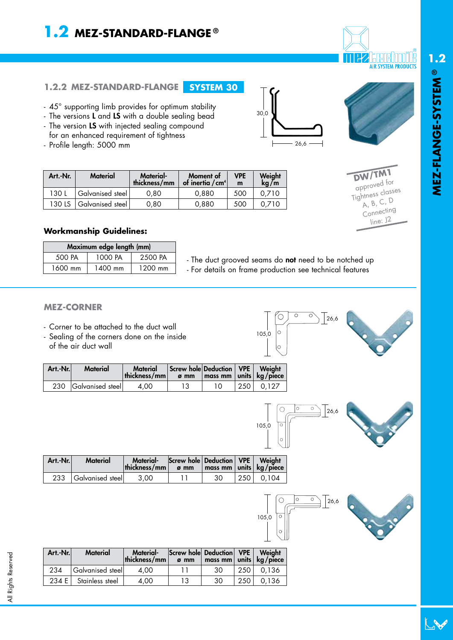## **1.2 MEZ-STANDARD-FLANGE ®**

# **AIR SYSTEM PRODUCTS**

#### **1.2.2 MEZ-STANDARD-FLANGE SYSTEM 30**

- 45° supporting limb provides for optimum stability
- The versions **L** and **LS** with a double sealing bead
- The version **LS** with injected sealing compound
- for an enhanced requirement of tightness - Profile length: 5000 mm

| 30,0 |  |      |  |
|------|--|------|--|
|      |  |      |  |
|      |  | 26,6 |  |

**DW/TM1** approved for Tightness classes A, B, C, D Connecting line: J2

| Art.-Nr. | <b>Material</b>  | <b>Material-</b><br>thickness/mm | Moment of<br>of inertia $/cm4$ | <b>VPE</b><br>m | Weight<br>ka/m |  |
|----------|------------------|----------------------------------|--------------------------------|-----------------|----------------|--|
| 130 L    | Galvanised steel | 0.80                             | 0.880                          | 500             | 0.710          |  |
| 130 LS   | Galvanised steel | 0.80                             | 0.880                          | 500             | 0.710          |  |

#### **Workmanship Guidelines:**

| Maximum edge length (mm) |         |         |  |  |  |  |  |
|--------------------------|---------|---------|--|--|--|--|--|
| 500 PA                   | 1000 PA | 2500 PA |  |  |  |  |  |
| 1600 mm                  | 1400 mm | 1200 mm |  |  |  |  |  |

- The duct grooved seams do **not** need to be notched up - For details on frame production see technical features

#### **MEZ-CORNER**

- Corner to be attached to the duct wall
- Sealing of the corners done on the inside of the air duct wall

| 105,0 | $\cap$<br>Ο,<br>26,6<br>C |  |
|-------|---------------------------|--|
|       |                           |  |

| Art.-Nr. | <b>Material</b>      | <b>Material</b><br>thickness/mm | Screw hole Deduction   VPE   Weight<br>$\sigma$ mm | $\vert$ mass mm $\vert$ units $\vert$ kg/piece |     |       |
|----------|----------------------|---------------------------------|----------------------------------------------------|------------------------------------------------|-----|-------|
|          | 230 Galvanised steel | 4.00                            |                                                    |                                                | 250 | 0.127 |



 $26,6$ 

 $\overline{\circ}$ 

| Art.-Nr. | <b>Material</b>  | <b>Material-</b><br>thickness/mm | Screw hole   Deduction   VPE  <br>$\sigma$ mm | $\mid$ mass mm $\mid$ units $\mid$ kg/piece $\mid$ |       | Weight |
|----------|------------------|----------------------------------|-----------------------------------------------|----------------------------------------------------|-------|--------|
| 233      | Galvanised steel | 3.00                             |                                               | 30                                                 | 250 l | 0.104  |





| Art.-Nr. | <b>Material</b>  | Material-<br>thickness/mm | Screw hole Deduction VPE<br>$\sigma$ mm | mass mm units kg/piece |       | Weight |
|----------|------------------|---------------------------|-----------------------------------------|------------------------|-------|--------|
| 234      | Galvanised steel | 4.00                      |                                         | 30                     | 250 l | 0.136  |
| 234 E    | Stainless steel  | 4.00                      | 13                                      | 30                     | 250   | 0.136  |